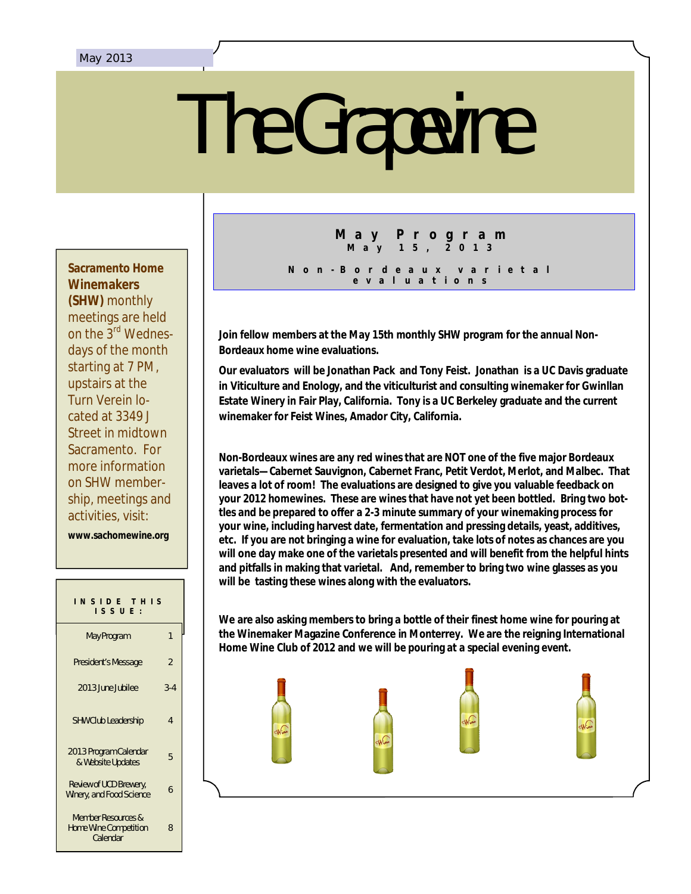# The Grapevine

**Sacramento Home Winemakers (SHW)** monthly meetings are held on the 3rd Wednesdays of the month starting at 7 PM, upstairs at the Turn Verein located at 3349 J Street in midtown Sacramento. For more information on SHW membership, meetings and activities, visit:

**www.sachomewine.org** 

| INSIDE THIS<br>$IS$ SUE :                                      |                |  |
|----------------------------------------------------------------|----------------|--|
| May Program                                                    | 1              |  |
| President's Message                                            | $\mathfrak{p}$ |  |
| 2013 June Jubilee                                              | $3-4$          |  |
| <b>SHW Club Leadership</b>                                     | 4              |  |
| 2013 Program Calendar<br>& Website Updates                     | 5              |  |
| Review of UCD Brewery,<br>Winery, and Food Science             | h              |  |
| Member Resources &<br><b>Home Wine Competition</b><br>Calendar | 8              |  |

## **M a y P r o g r a m M a y 1 5 , 2 0 1 3**

**N o n - B o r d e a u x v a r i e t a l e v a l u a t i o n s**

**Join fellow members at the May 15th monthly SHW program for the annual Non-Bordeaux home wine evaluations.**

**Our evaluators will be Jonathan Pack and Tony Feist. Jonathan is a UC Davis graduate in Viticulture and Enology, and the viticulturist and consulting winemaker for Gwinllan Estate Winery in Fair Play, California. Tony is a UC Berkeley graduate and the current winemaker for Feist Wines, Amador City, California.**

**Non-Bordeaux wines are any red wines that are NOT one of the five major Bordeaux varietals—Cabernet Sauvignon, Cabernet Franc, Petit Verdot, Merlot, and Malbec. That leaves a lot of room! The evaluations are designed to give you valuable feedback on your 2012 homewines. These are wines that have not yet been bottled. Bring two bottles and be prepared to offer a 2-3 minute summary of your winemaking process for your wine, including harvest date, fermentation and pressing details, yeast, additives, etc. If you are not bringing a wine for evaluation, take lots of notes as chances are you will one day make one of the varietals presented and will benefit from the helpful hints and pitfalls in making that varietal. And, remember to bring two wine glasses as you will be tasting these wines along with the evaluators.**

**We are also asking members to bring a bottle of their finest home wine for pouring at the Winemaker Magazine Conference in Monterrey. We are the reigning International Home Wine Club of 2012 and we will be pouring at a special evening event.** 

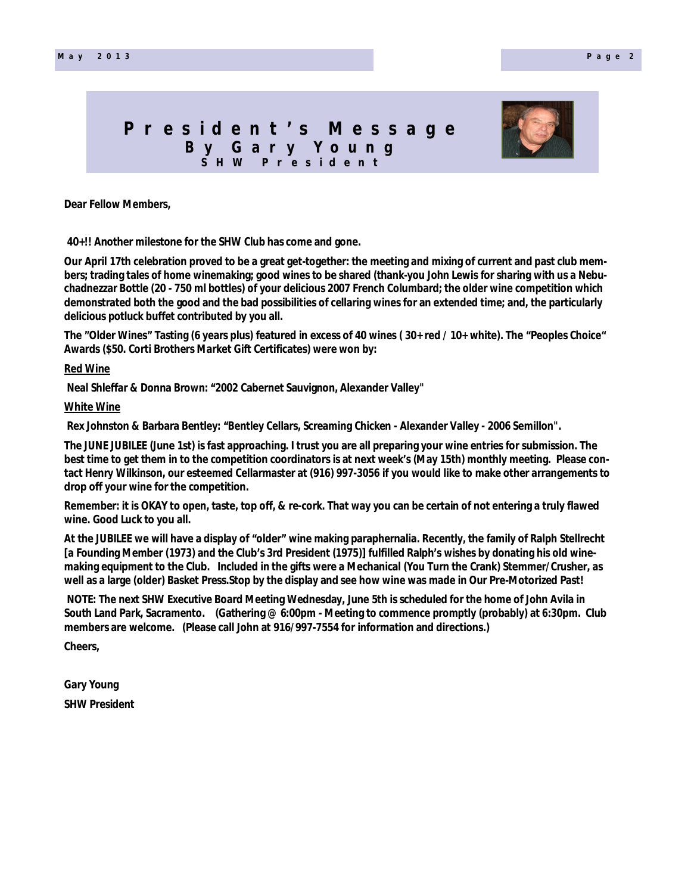# **P r e s i d e n t ' s M e s s a g e B y G a r y Y o u n g S H W P r e s i d e n t**



**Dear Fellow Members,**

**40+!! Another milestone for the SHW Club has come and gone.**

**Our April 17th celebration proved to be a great get-together: the meeting and mixing of current and past club members; trading tales of home winemaking; good wines to be shared (thank-you John Lewis for sharing with us a Nebuchadnezzar Bottle (20 - 750 ml bottles) of your delicious 2007 French Columbard; the older wine competition which demonstrated both the good and the bad possibilities of cellaring wines for an extended time; and, the particularly delicious potluck buffet contributed by you all.**

**The "Older Wines" Tasting (6 years plus) featured in excess of 40 wines ( 30+ red / 10+ white). The "Peoples Choice" Awards (\$50. Corti Brothers Market Gift Certificates) were won by:**

#### **Red Wine**

 **Neal Shleffar & Donna Brown: "2002 Cabernet Sauvignon, Alexander Valley"**

#### **White Wine**

Rex Johnston & Barbara Bentley: "Bentley Cellars, Screaming Chicken - Alexander Valley - 2006 Semillon".

**The JUNE JUBILEE (June 1st) is fast approaching. I trust you are all preparing your wine entries for submission. The best time to get them in to the competition coordinators is at next week's (May 15th) monthly meeting. Please contact Henry Wilkinson, our esteemed Cellarmaster at (916) 997-3056 if you would like to make other arrangements to drop off your wine for the competition.**

**Remember: it is OKAY to open, taste, top off, & re-cork. That way you can be certain of not entering a truly flawed wine. Good Luck to you all.**

At the JODILLE we will have a display of "Older" while making parapherhana. Recently, the rannly of Ralph Stellien<br>[a Founding Member (1973) and the Club's 3rd President (1975)] fulfilled Ralph's wishes by donating his old **At the JUBILEE we will have a display of "older" wine making paraphernalia. Recently, the family of Ralph Stellrecht making equipment to the Club. Included in the gifts were a Mechanical (You Turn the Crank) Stemmer/Crusher, as well as a large (older) Basket Press.Stop by the display and see how wine was made in Our Pre-Motorized Past!**

 **NOTE: The next SHW Executive Board Meeting Wednesday, June 5th is scheduled for the home of John Avila in South Land Park, Sacramento. (Gathering @ 6:00pm - Meeting to commence promptly (probably) at 6:30pm. Club members are welcome. (Please call John at 916/997-7554 for information and directions.)**

**Cheers,**

**Gary Young SHW President**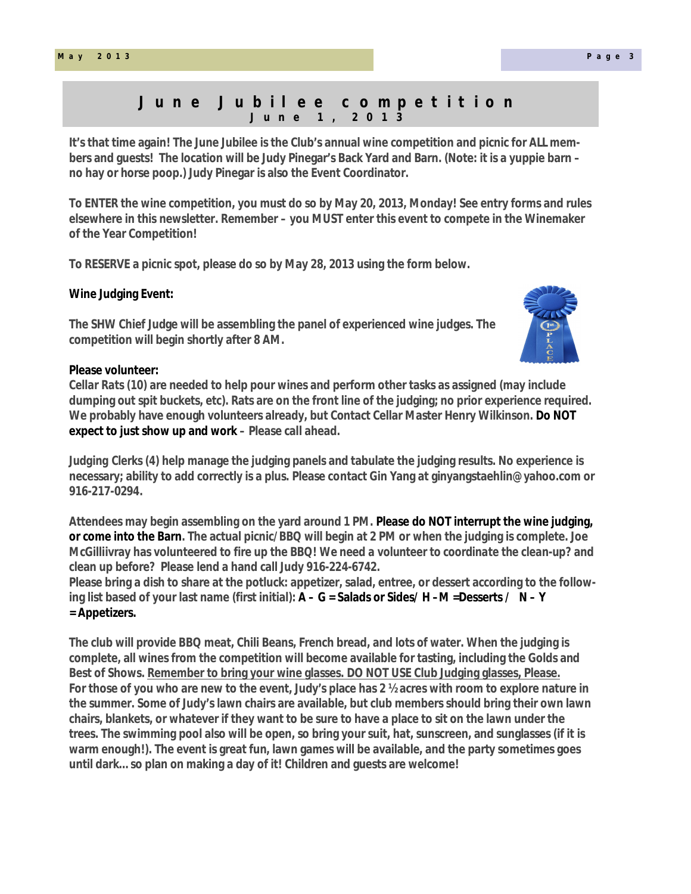## **J u n e J u b i l e e c o m p e t i t i o n J u n e 1 , 2 0 1 3**

**It's that time again! The June Jubilee is the Club's annual wine competition and picnic for ALL members and guests! The location will be Judy Pinegar's Back Yard and Barn. (Note: it is a yuppie barn – no hay or horse poop.) Judy Pinegar is also the Event Coordinator.**

**To ENTER the wine competition, you must do so by May 20, 2013, Monday! See entry forms and rules elsewhere in this newsletter. Remember – you MUST enter this event to compete in the Winemaker of the Year Competition!**

**To RESERVE a picnic spot, please do so by May 28, 2013 using the form below.**

## **Wine Judging Event:**

**The SHW Chief Judge will be assembling the panel of experienced wine judges. The competition will begin shortly after 8 AM.**

#### **Please volunteer:**

*Cellar Rats (10)* **are needed to help pour wines and perform other tasks as assigned (may include dumping out spit buckets, etc). Rats are on the front line of the judging; no prior experience required. We probably have enough volunteers already, but Contact Cellar Master Henry Wilkinson. Do NOT expect to just show up and work – Please call ahead.**

*Judging Clerks (4)* **help manage the judging panels and tabulate the judging results. No experience is necessary; ability to add correctly is a plus. Please contact Gin Yang at ginyangstaehlin@yahoo.com or 916-217-0294.**

**Attendees may begin assembling on the yard around 1 PM. Please do NOT interrupt the wine judging, or come into the Barn. The actual picnic/BBQ will begin at 2 PM or when the judging is complete. Joe McGilliivray has volunteered to fire up the BBQ! We need** *a volunteer to coordinate the clean-up***? and clean up before? Please lend a hand call Judy 916-224-6742.**

**Please bring a dish to share at the potluck: appetizer, salad, entree, or dessert according to the following list based of your last name (first initial): A – G = Salads or Sides/ H –M =Desserts / N – Y = Appetizers.**

**The club will provide BBQ meat, Chili Beans, French bread, and lots of water. When the judging is complete, all wines from the competition will become available for tasting, including the Golds and Best of Shows. Remember to bring your wine glasses. DO NOT USE Club Judging glasses, Please. For those of you who are new to the event, Judy's place has 2 ½ acres with room to explore nature in the summer. Some of Judy's lawn chairs are available, but club members should bring their own lawn chairs, blankets, or whatever if they want to be sure to have a place to sit on the lawn under the trees. The swimming pool also will be open, so bring your suit, hat, sunscreen, and sunglasses (if it is warm enough!). The event is great fun, lawn games will be available, and the party sometimes goes until dark… so plan on making a day of it! Children and guests are welcome!**

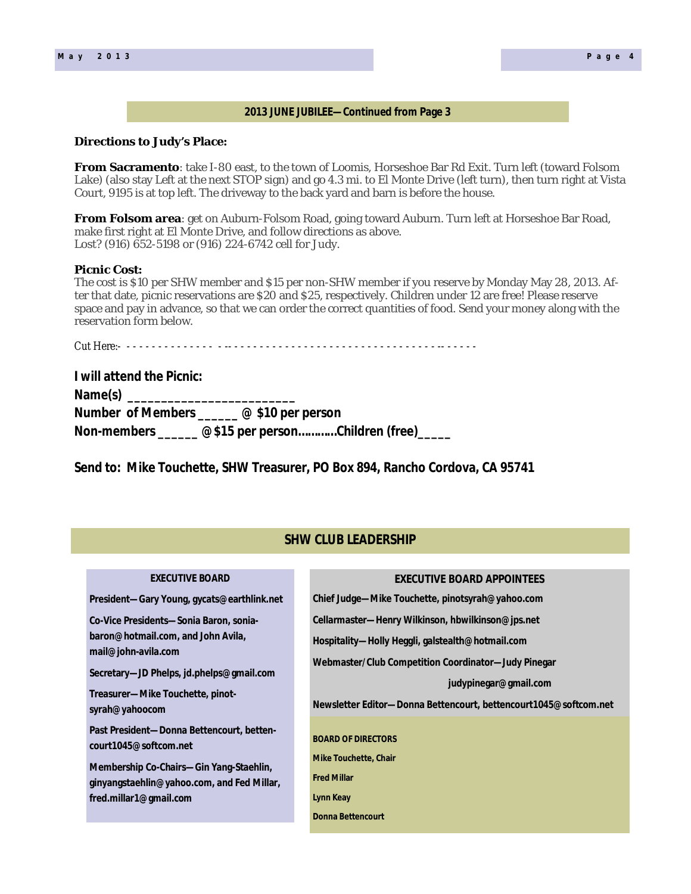## **2013 JUNE JUBILEE—Continued from Page 3**

#### **Directions to Judy's Place:**

**From Sacramento**: take I-80 east, to the town of Loomis, Horseshoe Bar Rd Exit. Turn left (toward Folsom Lake) (also stay Left at the next STOP sign) and go 4.3 mi. to El Monte Drive (left turn), then turn right at Vista Court, 9195 is at top left. The driveway to the back yard and barn is before the house.

**From Folsom area**: get on Auburn-Folsom Road, going toward Auburn. Turn left at Horseshoe Bar Road, make first right at El Monte Drive, and follow directions as above. Lost? (916) 652-5198 or (916) 224-6742 cell for Judy.

#### **Picnic Cost:**

The cost is \$10 per SHW member and \$15 per non-SHW member if you reserve by Monday May 28, 2013. After that date, picnic reservations are \$20 and \$25, respectively. Children under 12 are free! Please reserve space and pay in advance, so that we can order the correct quantities of food. Send your money along with the reservation form below.

Cut Here:- - - - - - - - - - - - - - - - -- - - - - - - - - - - - - - - - - - - - - - - - - - - - - - - - - -- - - - - -

| I will attend the Picnic: |                                                          |
|---------------------------|----------------------------------------------------------|
|                           |                                                          |
|                           | Number of Members $\_\_\_\_$ @ \$10 per person           |
|                           | Non-members _______ @\$15 per personChildren (free)_____ |

**Send to: Mike Touchette, SHW Treasurer, PO Box 894, Rancho Cordova, CA 95741**

## **SHW CLUB LEADERSHIP**

| <b>EXECUTIVE BOARD</b>                                                                                                                                                                                | <b>EXECUTIVE BOARD APPOINTEES</b>                                                                                                                                                                                                                         |
|-------------------------------------------------------------------------------------------------------------------------------------------------------------------------------------------------------|-----------------------------------------------------------------------------------------------------------------------------------------------------------------------------------------------------------------------------------------------------------|
| President—Gary Young, gycats@earthlink.net                                                                                                                                                            | Chief Judge—Mike Touchette, pinotsyrah@yahoo.com                                                                                                                                                                                                          |
| Co-Vice Presidents-Sonia Baron, sonia-<br>baron@hotmail.com, and John Avila,<br>mail@john-avila.com<br>Secretary—JD Phelps, jd.phelps@gmail.com<br>Treasurer-Mike Touchette, pinot-<br>syrah@yahoocom | Cellarmaster—Henry Wilkinson, hbwilkinson@jps.net<br>Hospitality—Holly Heggli, galstealth@hotmail.com<br>Webmaster/Club Competition Coordinator-Judy Pinegar<br>judypinegar@gmail.com<br>Newsletter Editor-Donna Bettencourt, bettencourt1045@softcom.net |
| Past President-Donna Bettencourt, betten-<br>court1045@softcom.net<br>Membership Co-Chairs—Gin Yang-Staehlin,<br>ginyangstaehlin@yahoo.com, and Fed Millar,<br>fred.millar1@gmail.com                 | <b>BOARD OF DIRECTORS</b><br><b>Mike Touchette, Chair</b><br><b>Fred Millar</b><br>Lynn Keay<br><b>Donna Bettencourt</b>                                                                                                                                  |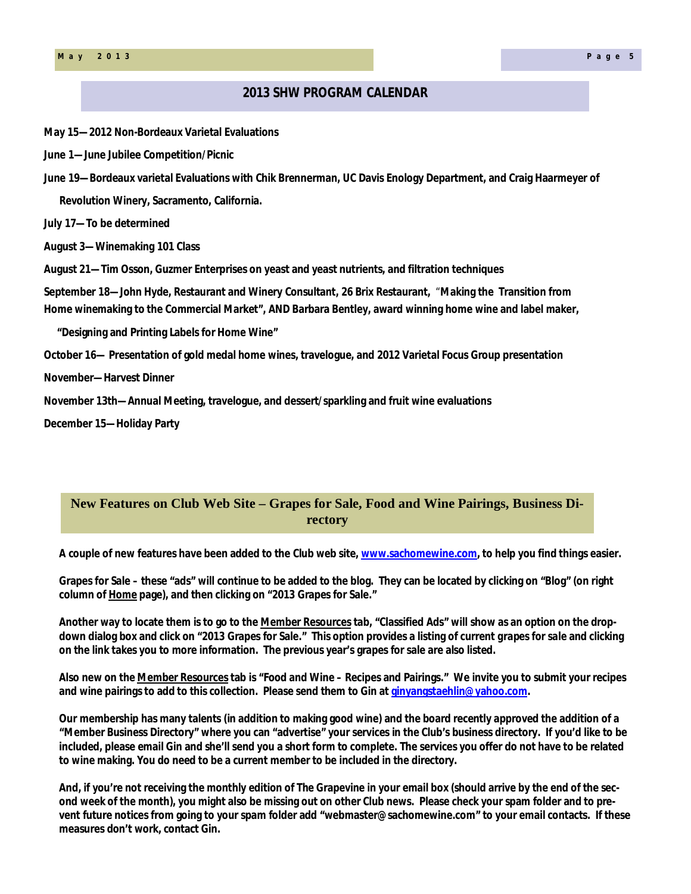## **2013 SHW PROGRAM CALENDAR**

**May 15—2012 Non-Bordeaux Varietal Evaluations**

**June 1—June Jubilee Competition/Picnic**

**June 19—Bordeaux varietal Evaluations with Chik Brennerman, UC Davis Enology Department, and Craig Haarmeyer of Revolution Winery, Sacramento, California.**

**July 17—To be determined**

**August 3—Winemaking 101 Class**

**August 21—Tim Osson, Guzmer Enterprises on yeast and yeast nutrients, and filtration techniques**

**September 18—John Hyde, Restaurant and Winery Consultant, 26 Brix Restaurant,** "**Making the Transition from Home winemaking to the Commercial Market", AND Barbara Bentley, award winning home wine and label maker,** 

 **"Designing and Printing Labels for Home Wine"**

**October 16— Presentation of gold medal home wines, travelogue, and 2012 Varietal Focus Group presentation**

**November—Harvest Dinner**

**November 13th—Annual Meeting, travelogue, and dessert/sparkling and fruit wine evaluations**

**December 15—Holiday Party**

## **New Features on Club Web Site – Grapes for Sale, Food and Wine Pairings, Business Directory**

**A couple of new features have been added to the Club web site, www.sachomewine.com, to help you find things easier.** 

**Grapes for Sale – these "ads" will continue to be added to the blog. They can be located by clicking on "Blog" (on right column of Home page), and then clicking on "2013 Grapes for Sale."** 

**Another way to locate them is to go to the Member Resources tab, "Classified Ads" will show as an option on the dropdown dialog box and click on "2013 Grapes for Sale." This option provides a listing of current** *grapes for sale* **and clicking on the link takes you to more information. The previous year's grapes for sale are also listed.**

**Also new on the Member Resources tab is "Food and Wine – Recipes and Pairings." We invite you to submit your recipes and wine pairings to add to this collection. Please send them to Gin at ginyangstaehlin@yahoo.com.**

**Our membership has many talents (in addition to making good wine) and the board recently approved the addition of a "Member Business Directory" where you can "advertise" your services in the Club's business directory. If you'd like to be included, please email Gin and she'll send you a short form to complete. The services you offer do not have to be related to wine making. You do need to be a current member to be included in the directory.**

**And, if you're not receiving the monthly edition of** *The Grapevine* **in your email box (should arrive by the end of the second week of the month), you might also be missing out on other Club news. Please check your spam folder and to prevent future notices from going to your spam folder add "webmaster@sachomewine.com" to your email contacts. If these measures don't work, contact Gin.**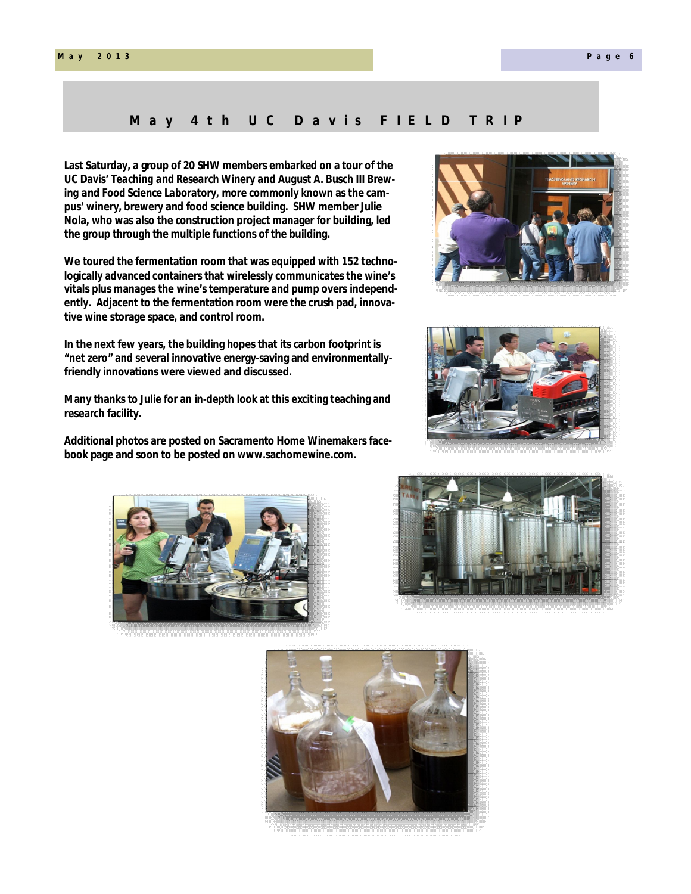#### **M a y 2 0 1 3 P a g e 6**

## May 4th UC Davis FIELD TRIP

**Last Saturday, a group of 20 SHW members embarked on a tour of the UC Davis'** *Teaching and Research Winery and August A. Busch III Brewing and Food Science Laboratory***, more commonly known as the campus' winery, brewery and food science building. SHW member Julie Nola, who was also the construction project manager for building, led the group through the multiple functions of the building.** 

**We toured the fermentation room that was equipped with 152 technologically advanced containers that wirelessly communicates the wine's vitals plus manages the wine's temperature and pump overs independently. Adjacent to the fermentation room were the crush pad, innovative wine storage space, and control room.** 

**In the next few years, the building hopes that its carbon footprint is "net zero" and several innovative energy-saving and environmentallyfriendly innovations were viewed and discussed.** 

**Many thanks to Julie for an in-depth look at this exciting teaching and research facility.** 

**Additional photos are posted on Sacramento Home Winemakers facebook page and soon to be posted on www.sachomewine.com.**









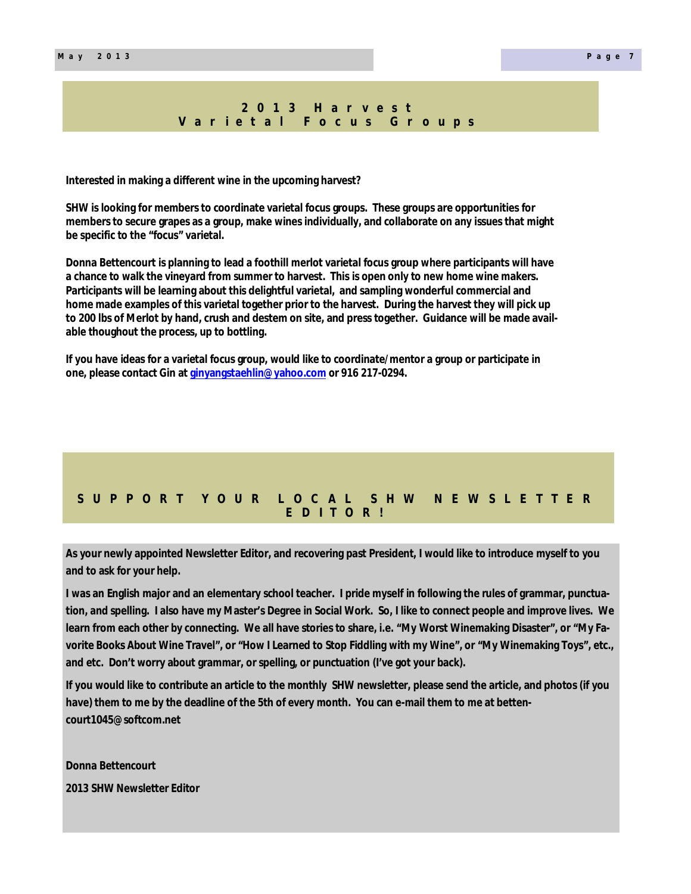#### **2 0 1 3 H a r v e s t V a r i e t a l F o c u s G r o u p s**

**Interested in making a different wine in the upcoming harvest?**

**SHW is looking for members to coordinate varietal focus groups. These groups are opportunities for members to secure grapes as a group, make wines individually, and collaborate on any issues that might be specific to the "focus" varietal.** 

**Donna Bettencourt is planning to lead a foothill merlot varietal focus group where participants will have a chance to walk the vineyard from summer to harvest. This is open only to new home wine makers. Participants will be learning about this delightful varietal, and sampling wonderful commercial and home made examples of this varietal together prior to the harvest. During the harvest they will pick up to 200 lbs of Merlot by hand, crush and destem on site, and press together. Guidance will be made available thoughout the process, up to bottling.**

**If you have ideas for a varietal focus group, would like to coordinate/mentor a group or participate in one, please contact Gin at ginyangstaehlin@yahoo.com or 916 217-0294.**

## **S U P P O R T Y O U R L O C A L S H W N E W S L E T T E R E D I T O R !**

**As your newly appointed Newsletter Editor, and recovering past President, I would like to introduce myself to you and to ask for your help.**

**I was an English major and an elementary school teacher. I pride myself in following the rules of grammar, punctuation, and spelling. I also have my Master's Degree in Social Work. So, I like to connect people and improve lives. We learn from each other by connecting. We all have stories to share, i.e. "My Worst Winemaking Disaster", or "My Favorite Books About Wine Travel", or "How I Learned to Stop Fiddling with my Wine", or "My Winemaking Toys", etc., and etc. Don't worry about grammar, or spelling, or punctuation (I've got your back).**

**If you would like to contribute an article to the monthly SHW newsletter, please send the article, and photos (if you have) them to me by the deadline of the 5th of every month. You can e-mail them to me at bettencourt1045@softcom.net** 

**Donna Bettencourt** 

**2013 SHW Newsletter Editor**